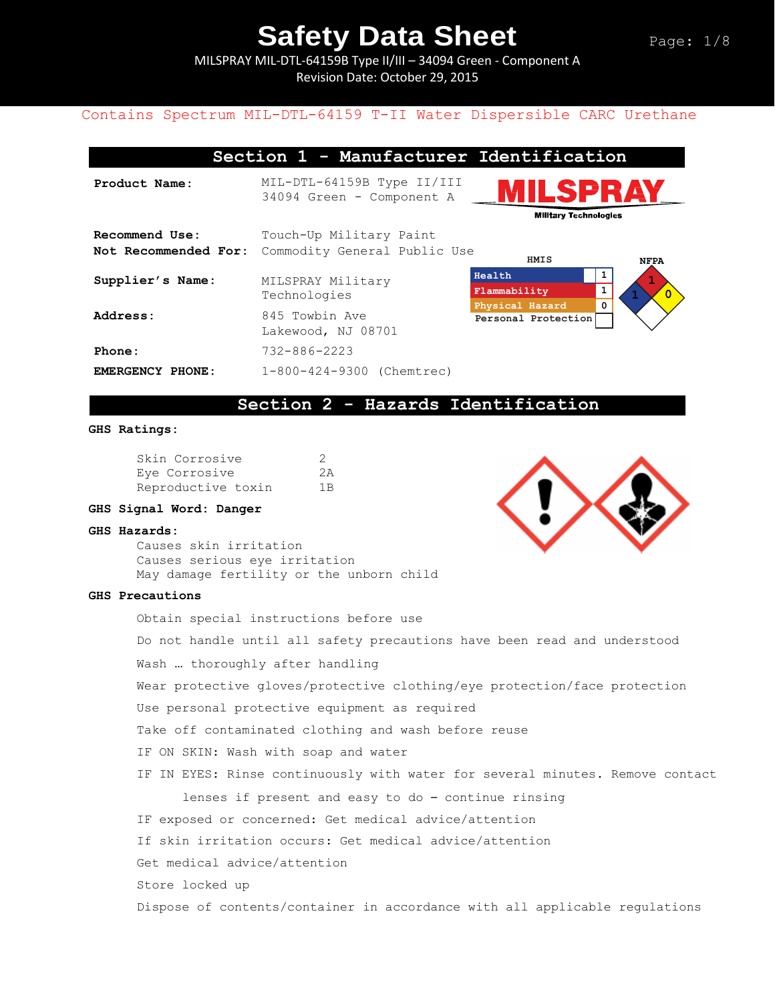MILSPRAY MIL-DTL-64159B Type II/III – 34094 Green - Component A Revision Date: October 29, 2015

#### Contains Spectrum MIL-DTL-64159 T-II Water Dispersible CARC Urethane

| Section 1 - Manufacturer Identification |                                                         |                                                                         |  |  |  |
|-----------------------------------------|---------------------------------------------------------|-------------------------------------------------------------------------|--|--|--|
| Product Name:                           | MIL-DTL-64159B Type II/III<br>34094 Green - Component A | ILSPRAY                                                                 |  |  |  |
|                                         |                                                         | <b>Military Technologies</b>                                            |  |  |  |
| Recommend Use:                          | Touch-Up Military Paint                                 |                                                                         |  |  |  |
| Not Recommended For:                    | Commodity General Public Use                            |                                                                         |  |  |  |
| Supplier's Name:                        | MILSPRAY Military<br>Technologies                       | HMIS<br><b>NFPA</b><br>Health<br>$\mathbf{1}$<br>1<br>Flammability<br>0 |  |  |  |
| Address:                                | 845 Towbin Ave<br>Lakewood, NJ 08701                    | Physical Hazard<br>Personal Protection                                  |  |  |  |
| Phone:                                  | $732 - 886 - 2223$                                      |                                                                         |  |  |  |
| EMERGENCY PHONE:                        | 1-800-424-9300 (Chemtrec)                               |                                                                         |  |  |  |

### **Section 2 - Hazards Identification**

#### **GHS Ratings:**

| Skin Corrosive     | -2             |
|--------------------|----------------|
| Eye Corrosive      | 2A             |
| Reproductive toxin | 1 <sub>B</sub> |

#### **GHS Signal Word: Danger**

#### **GHS Hazards:**

Causes skin irritation Causes serious eye irritation May damage fertility or the unborn child

#### **GHS Precautions**

Obtain special instructions before use Do not handle until all safety precautions have been read and understood Wash … thoroughly after handling Wear protective gloves/protective clothing/eye protection/face protection Use personal protective equipment as required Take off contaminated clothing and wash before reuse IF ON SKIN: Wash with soap and water IF IN EYES: Rinse continuously with water for several minutes. Remove contact lenses if present and easy to do – continue rinsing IF exposed or concerned: Get medical advice/attention If skin irritation occurs: Get medical advice/attention Get medical advice/attention Store locked up Dispose of contents/container in accordance with all applicable regulations

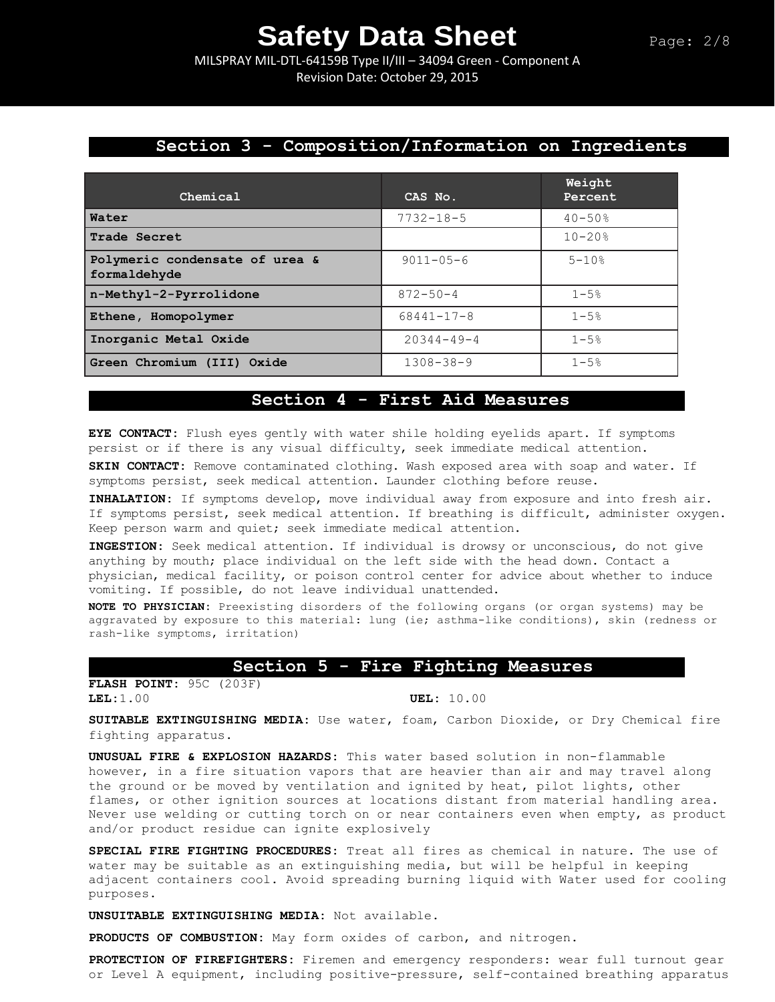MILSPRAY MIL-DTL-64159B Type II/III – 34094 Green - Component A Revision Date: October 29, 2015

## **Section 3 - Composition/Information on Ingredients**

| Chemical                                       | CAS No.          | Weight<br>Percent |
|------------------------------------------------|------------------|-------------------|
| Water                                          | $7732 - 18 - 5$  | $40 - 50$ %       |
| Trade Secret                                   |                  | $10 - 20$ %       |
| Polymeric condensate of urea &<br>formaldehyde | $9011 - 05 - 6$  | $5 - 10$ %        |
| n-Methyl-2-Pyrrolidone                         | $872 - 50 - 4$   | $1 - 5%$          |
| Ethene, Homopolymer                            | $68441 - 17 - 8$ | $1 - 5%$          |
| Inorganic Metal Oxide                          | $20344 - 49 - 4$ | $1 - 5%$          |
| Green Chromium (III) Oxide                     | $1308 - 38 - 9$  | $1 - 5%$          |

#### **Section 4 - First Aid Measures**

**EYE CONTACT:** Flush eyes gently with water shile holding eyelids apart. If symptoms persist or if there is any visual difficulty, seek immediate medical attention.

**SKIN CONTACT:** Remove contaminated clothing. Wash exposed area with soap and water. If symptoms persist, seek medical attention. Launder clothing before reuse.

**INHALATION:** If symptoms develop, move individual away from exposure and into fresh air. If symptoms persist, seek medical attention. If breathing is difficult, administer oxygen. Keep person warm and quiet; seek immediate medical attention.

**INGESTION:** Seek medical attention. If individual is drowsy or unconscious, do not give anything by mouth; place individual on the left side with the head down. Contact a physician, medical facility, or poison control center for advice about whether to induce vomiting. If possible, do not leave individual unattended.

**NOTE TO PHYSICIAN:** Preexisting disorders of the following organs (or organ systems) may be aggravated by exposure to this material: lung (ie; asthma-like conditions), skin (redness or rash-like symptoms, irritation)

#### **Section 5 - Fire Fighting Measures**

**FLASH POINT:** 95C (203F) **LEL:**1.00 **UEL:** 10.00

**SUITABLE EXTINGUISHING MEDIA:** Use water, foam, Carbon Dioxide, or Dry Chemical fire fighting apparatus.

**UNUSUAL FIRE & EXPLOSION HAZARDS:** This water based solution in non-flammable however, in a fire situation vapors that are heavier than air and may travel along the ground or be moved by ventilation and ignited by heat, pilot lights, other flames, or other ignition sources at locations distant from material handling area. Never use welding or cutting torch on or near containers even when empty, as product and/or product residue can ignite explosively

**SPECIAL FIRE FIGHTING PROCEDURES:** Treat all fires as chemical in nature. The use of water may be suitable as an extinguishing media, but will be helpful in keeping adjacent containers cool. Avoid spreading burning liquid with Water used for cooling purposes.

**UNSUITABLE EXTINGUISHING MEDIA:** Not available.

**PRODUCTS OF COMBUSTION:** May form oxides of carbon, and nitrogen.

**PROTECTION OF FIREFIGHTERS:** Firemen and emergency responders: wear full turnout gear or Level A equipment, including positive-pressure, self-contained breathing apparatus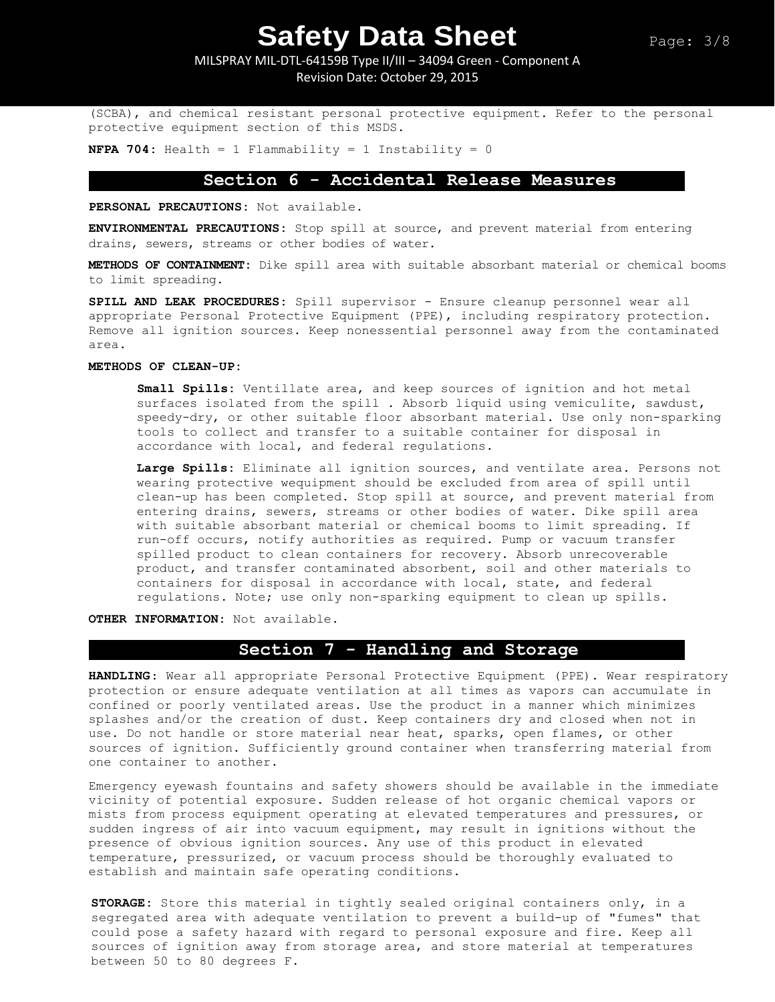MILSPRAY MIL-DTL-64159B Type II/III – 34094 Green - Component A Revision Date: October 29, 2015

(SCBA), and chemical resistant personal protective equipment. Refer to the personal protective equipment section of this MSDS.

**NFPA 704:** Health = 1 Flammability = 1 Instability = 0

### **Section 6 - Accidental Release Measures**

**PERSONAL PRECAUTIONS:** Not available.

**ENVIRONMENTAL PRECAUTIONS:** Stop spill at source, and prevent material from entering drains, sewers, streams or other bodies of water.

**METHODS OF CONTAINMENT:** Dike spill area with suitable absorbant material or chemical booms to limit spreading.

**SPILL AND LEAK PROCEDURES:** Spill supervisor - Ensure cleanup personnel wear all appropriate Personal Protective Equipment (PPE), including respiratory protection. Remove all ignition sources. Keep nonessential personnel away from the contaminated area.

#### **METHODS OF CLEAN-UP:**

**Small Spills:** Ventillate area, and keep sources of ignition and hot metal surfaces isolated from the spill . Absorb liquid using vemiculite, sawdust, speedy-dry, or other suitable floor absorbant material. Use only non-sparking tools to collect and transfer to a suitable container for disposal in accordance with local, and federal regulations.

**Large Spills:** Eliminate all ignition sources, and ventilate area. Persons not wearing protective wequipment should be excluded from area of spill until clean-up has been completed. Stop spill at source, and prevent material from entering drains, sewers, streams or other bodies of water. Dike spill area with suitable absorbant material or chemical booms to limit spreading. If run-off occurs, notify authorities as required. Pump or vacuum transfer spilled product to clean containers for recovery. Absorb unrecoverable product, and transfer contaminated absorbent, soil and other materials to containers for disposal in accordance with local, state, and federal regulations. Note; use only non-sparking equipment to clean up spills.

**OTHER INFORMATION:** Not available.

# **Section 7 - Handling and Storage**

**HANDLING**: Wear all appropriate Personal Protective Equipment (PPE). Wear respiratory protection or ensure adequate ventilation at all times as vapors can accumulate in confined or poorly ventilated areas. Use the product in a manner which minimizes splashes and/or the creation of dust. Keep containers dry and closed when not in use. Do not handle or store material near heat, sparks, open flames, or other sources of ignition. Sufficiently ground container when transferring material from one container to another.

Emergency eyewash fountains and safety showers should be available in the immediate vicinity of potential exposure. Sudden release of hot organic chemical vapors or mists from process equipment operating at elevated temperatures and pressures, or sudden ingress of air into vacuum equipment, may result in ignitions without the presence of obvious ignition sources. Any use of this product in elevated temperature, pressurized, or vacuum process should be thoroughly evaluated to establish and maintain safe operating conditions.

**STORAGE:** Store this material in tightly sealed original containers only, in a segregated area with adequate ventilation to prevent a build-up of "fumes" that could pose a safety hazard with regard to personal exposure and fire. Keep all sources of ignition away from storage area, and store material at temperatures between 50 to 80 degrees F.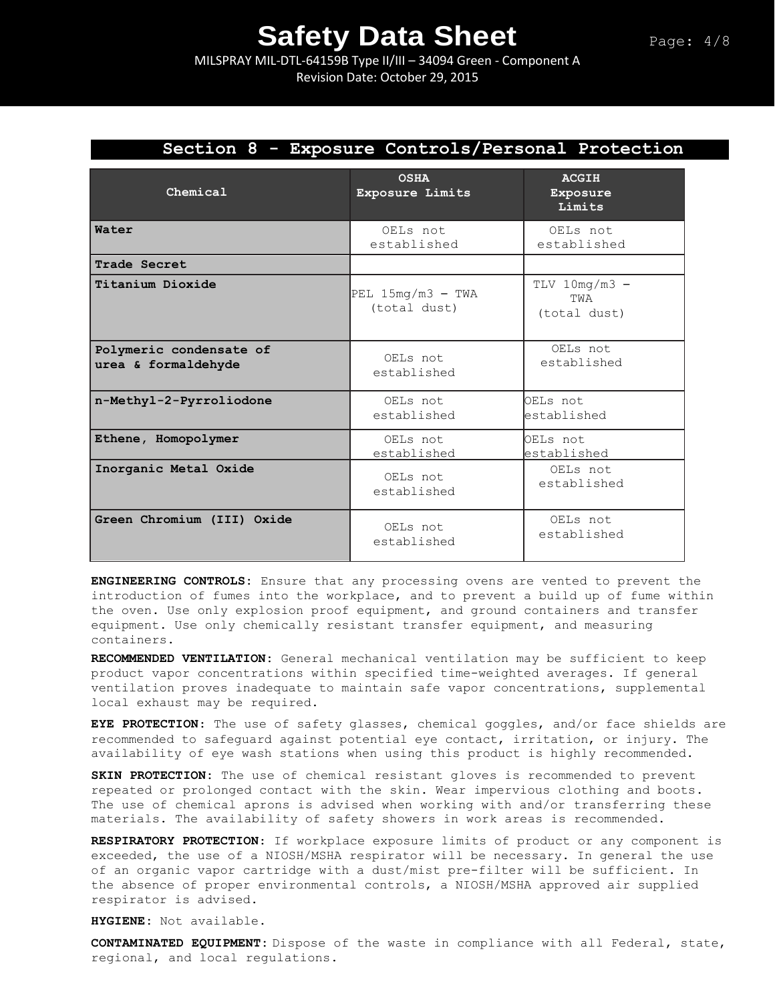MILSPRAY MIL-DTL-64159B Type II/III – 34094 Green - Component A Revision Date: October 29, 2015

# **Section 8 - Exposure Controls/Personal Protection**

| Chemical                                       | <b>OSHA</b><br><b>Exposure Limits</b> | <b>ACGIH</b><br>Exposure<br>Limits     |
|------------------------------------------------|---------------------------------------|----------------------------------------|
| Water                                          | OELs not<br>established               | OELs not<br>established                |
| Trade Secret                                   |                                       |                                        |
| Titanium Dioxide                               | PEL $15mg/m3$ - TWA<br>(total dust)   | $TLV$ 10mg/m3 -<br>TWA<br>(total dust) |
| Polymeric condensate of<br>urea & formaldehyde | OELs not<br>established               | OELs not<br>established                |
| n-Methyl-2-Pyrroliodone                        | OELs not<br>established               | OELs not<br>established                |
| Ethene, Homopolymer                            | OELs not<br>established               | OELs not<br>established                |
| Inorganic Metal Oxide                          | OELs not<br>established               | OELs not<br>established                |
| Green Chromium (III) Oxide                     | OELs not<br>established               | OELs not<br>established                |

**ENGINEERING CONTROLS:** Ensure that any processing ovens are vented to prevent the introduction of fumes into the workplace, and to prevent a build up of fume within the oven. Use only explosion proof equipment, and ground containers and transfer equipment. Use only chemically resistant transfer equipment, and measuring containers.

**RECOMMENDED VENTILATION:** General mechanical ventilation may be sufficient to keep product vapor concentrations within specified time-weighted averages. If general ventilation proves inadequate to maintain safe vapor concentrations, supplemental local exhaust may be required.

**EYE PROTECTION**: The use of safety glasses, chemical goggles, and/or face shields are recommended to safeguard against potential eye contact, irritation, or injury. The availability of eye wash stations when using this product is highly recommended.

**SKIN PROTECTION:** The use of chemical resistant gloves is recommended to prevent repeated or prolonged contact with the skin. Wear impervious clothing and boots. The use of chemical aprons is advised when working with and/or transferring these materials. The availability of safety showers in work areas is recommended.

**RESPIRATORY PROTECTION**: If workplace exposure limits of product or any component is exceeded, the use of a NIOSH/MSHA respirator will be necessary. In general the use of an organic vapor cartridge with a dust/mist pre-filter will be sufficient. In the absence of proper environmental controls, a NIOSH/MSHA approved air supplied respirator is advised.

**HYGIENE:** Not available.

**CONTAMINATED EQUIPMENT:** Dispose of the waste in compliance with all Federal, state, regional, and local regulations.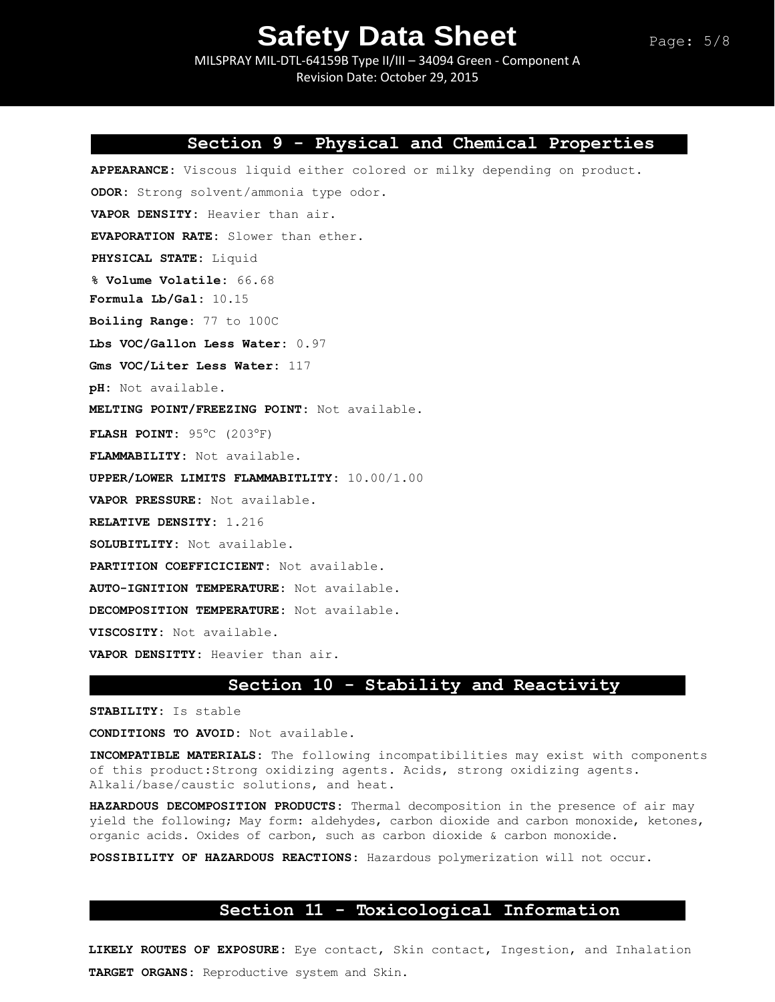MILSPRAY MIL-DTL-64159B Type II/III – 34094 Green - Component A Revision Date: October 29, 2015

### **Section 9 - Physical and Chemical Properties**

**APPEARANCE:** Viscous liquid either colored or milky depending on product. **ODOR:** Strong solvent/ammonia type odor. **VAPOR DENSITY:** Heavier than air. **EVAPORATION RATE:** Slower than ether. **PHYSICAL STATE:** Liquid **% Volume Volatile:** 66.68 **Formula Lb/Gal:** 10.15 **Boiling Range:** 77 to 100C **Lbs VOC/Gallon Less Water:** 0.97 **Gms VOC/Liter Less Water:** 117 **pH:** Not available. **MELTING POINT/FREEZING POINT:** Not available. **FLASH POINT: 95°C (203°F) FLAMMABILITY:** Not available. **UPPER/LOWER LIMITS FLAMMABITLITY:** 10.00/1.00 **VAPOR PRESSURE:** Not available. **RELATIVE DENSITY:** 1.216 **SOLUBITLITY:** Not available. **PARTITION COEFFICICIENT:** Not available. **AUTO-IGNITION TEMPERATURE:** Not available. **DECOMPOSITION TEMPERATURE:** Not available. **VISCOSITY:** Not available. **VAPOR DENSITTY:** Heavier than air.

## **Section 10 - Stability and Reactivity**

**STABILITY:** Is stable

**CONDITIONS TO AVOID:** Not available.

**INCOMPATIBLE MATERIALS:** The following incompatibilities may exist with components of this product:Strong oxidizing agents. Acids, strong oxidizing agents. Alkali/base/caustic solutions, and heat.

**HAZARDOUS DECOMPOSITION PRODUCTS:** Thermal decomposition in the presence of air may yield the following; May form: aldehydes, carbon dioxide and carbon monoxide, ketones, organic acids. Oxides of carbon, such as carbon dioxide & carbon monoxide.

**POSSIBILITY OF HAZARDOUS REACTIONS:** Hazardous polymerization will not occur.

## **Section 11 - Toxicological Information**

**LIKELY ROUTES OF EXPOSURE:** Eye contact, Skin contact, Ingestion, and Inhalation **TARGET ORGANS:** Reproductive system and Skin.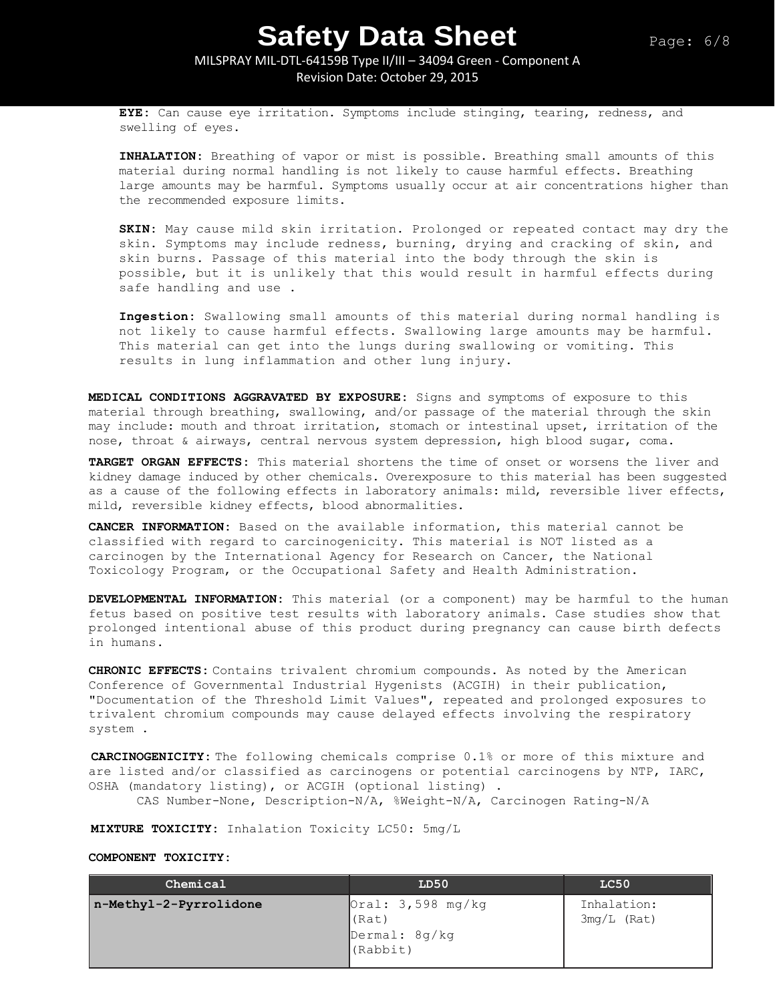### MILSPRAY MIL-DTL-64159B Type II/III – 34094 Green - Component A Revision Date: October 29, 2015

**EYE:** Can cause eye irritation. Symptoms include stinging, tearing, redness, and swelling of eyes.

**INHALATION:** Breathing of vapor or mist is possible. Breathing small amounts of this material during normal handling is not likely to cause harmful effects. Breathing large amounts may be harmful. Symptoms usually occur at air concentrations higher than the recommended exposure limits.

**SKIN:** May cause mild skin irritation. Prolonged or repeated contact may dry the skin. Symptoms may include redness, burning, drying and cracking of skin, and skin burns. Passage of this material into the body through the skin is possible, but it is unlikely that this would result in harmful effects during safe handling and use .

**Ingestion:** Swallowing small amounts of this material during normal handling is not likely to cause harmful effects. Swallowing large amounts may be harmful. This material can get into the lungs during swallowing or vomiting. This results in lung inflammation and other lung injury.

**MEDICAL CONDITIONS AGGRAVATED BY EXPOSURE:** Signs and symptoms of exposure to this material through breathing, swallowing, and/or passage of the material through the skin may include: mouth and throat irritation, stomach or intestinal upset, irritation of the nose, throat & airways, central nervous system depression, high blood sugar, coma.

**TARGET ORGAN EFFECTS:** This material shortens the time of onset or worsens the liver and kidney damage induced by other chemicals. Overexposure to this material has been suggested as a cause of the following effects in laboratory animals: mild, reversible liver effects, mild, reversible kidney effects, blood abnormalities.

**CANCER INFORMATION:** Based on the available information, this material cannot be classified with regard to carcinogenicity. This material is NOT listed as a carcinogen by the International Agency for Research on Cancer, the National Toxicology Program, or the Occupational Safety and Health Administration.

**DEVELOPMENTAL INFORMATION:** This material (or a component) may be harmful to the human fetus based on positive test results with laboratory animals. Case studies show that prolonged intentional abuse of this product during pregnancy can cause birth defects in humans.

**CHRONIC EFFECTS:** Contains trivalent chromium compounds. As noted by the American Conference of Governmental Industrial Hygenists (ACGIH) in their publication, "Documentation of the Threshold Limit Values", repeated and prolonged exposures to trivalent chromium compounds may cause delayed effects involving the respiratory system .

**CARCINOGENICITY:** The following chemicals comprise 0.1% or more of this mixture and are listed and/or classified as carcinogens or potential carcinogens by NTP, IARC, OSHA (mandatory listing), or ACGIH (optional listing) .

CAS Number-None, Description-N/A, %Weight-N/A, Carcinogen Rating-N/A

**MIXTURE TOXICITY:** Inhalation Toxicity LC50: 5mg/L

#### **COMPONENT TOXICITY:**

| Chemical               | LD50                                                             | LC50                         |
|------------------------|------------------------------------------------------------------|------------------------------|
| n-Methyl-2-Pyrrolidone | $\sqrt{Ocal}:$ 3,598 mg/kg<br>(Rat)<br>Dermal: 8g/kg<br>(Rabbit) | Inhalation:<br>$3mg/L$ (Rat) |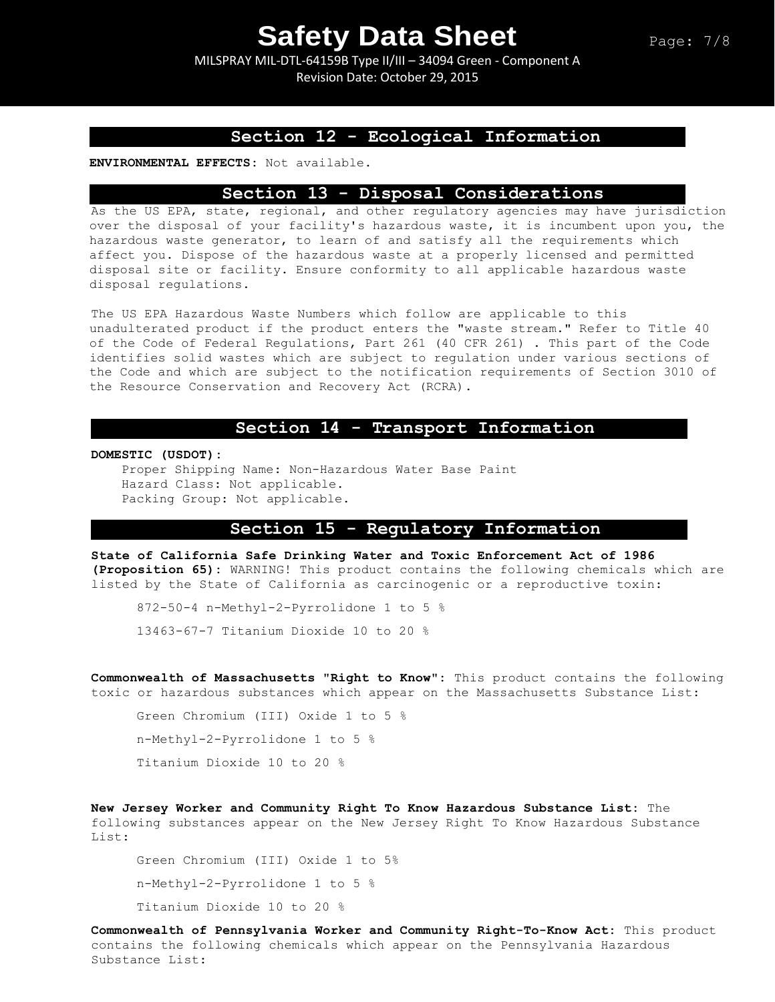MILSPRAY MIL-DTL-64159B Type II/III – 34094 Green - Component A Revision Date: October 29, 2015

### **Section 12 - Ecological Information**

**ENVIRONMENTAL EFFECTS:** Not available.

#### **Section 13 - Disposal Considerations**

As the US EPA, state, regional, and other regulatory agencies may have jurisdiction over the disposal of your facility's hazardous waste, it is incumbent upon you, the hazardous waste generator, to learn of and satisfy all the requirements which affect you. Dispose of the hazardous waste at a properly licensed and permitted disposal site or facility. Ensure conformity to all applicable hazardous waste disposal regulations.

The US EPA Hazardous Waste Numbers which follow are applicable to this unadulterated product if the product enters the "waste stream." Refer to Title 40 of the Code of Federal Regulations, Part 261 (40 CFR 261) . This part of the Code identifies solid wastes which are subject to regulation under various sections of the Code and which are subject to the notification requirements of Section 3010 of the Resource Conservation and Recovery Act (RCRA).

#### **Section 14 - Transport Information**

**DOMESTIC (USDOT):**

Proper Shipping Name: Non-Hazardous Water Base Paint Hazard Class: Not applicable. Packing Group: Not applicable.

## **Section 15 - Regulatory Information**

**State of California Safe Drinking Water and Toxic Enforcement Act of 1986 (Proposition 65):** WARNING! This product contains the following chemicals which are listed by the State of California as carcinogenic or a reproductive toxin:

872-50-4 n-Methyl-2-Pyrrolidone 1 to 5 % 13463-67-7 Titanium Dioxide 10 to 20 %

**Commonwealth of Massachusetts "Right to Know":** This product contains the following toxic or hazardous substances which appear on the Massachusetts Substance List:

```
Green Chromium (III) Oxide 1 to 5 %
n-Methyl-2-Pyrrolidone 1 to 5 %
Titanium Dioxide 10 to 20 %
```
**New Jersey Worker and Community Right To Know Hazardous Substance List:** The following substances appear on the New Jersey Right To Know Hazardous Substance List:

Green Chromium (III) Oxide 1 to 5% n-Methyl-2-Pyrrolidone 1 to 5 % Titanium Dioxide 10 to 20 %

**Commonwealth of Pennsylvania Worker and Community Right-To-Know Act:** This product contains the following chemicals which appear on the Pennsylvania Hazardous Substance List: